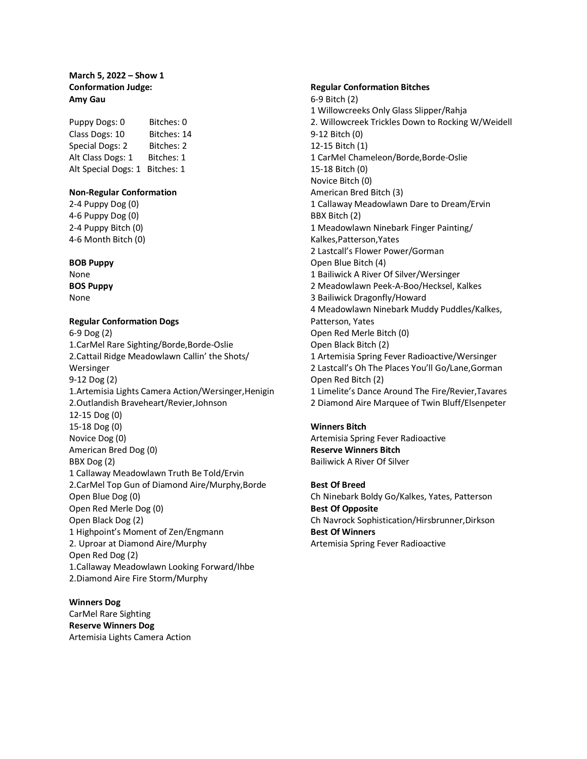# **March 5, 2022 – Show 1 Conformation Judge: Amy Gau**

Puppy Dogs: 0 Bitches: 0 Class Dogs: 10 Bitches: 14 Special Dogs: 2 Bitches: 2 Alt Class Dogs: 1 Bitches: 1 Alt Special Dogs: 1 Bitches: 1

## **Non-Regular Conformation**

2-4 Puppy Dog (0) 4-6 Puppy Dog (0) 2-4 Puppy Bitch (0) 4-6 Month Bitch (0)

## **BOB Puppy**

None **BOS Puppy** None

# **Regular Conformation Dogs**

6-9 Dog (2) 1.CarMel Rare Sighting/Borde,Borde-Oslie 2.Cattail Ridge Meadowlawn Callin' the Shots/ Wersinger 9-12 Dog (2) 1.Artemisia Lights Camera Action/Wersinger,Henigin 2.Outlandish Braveheart/Revier,Johnson 12-15 Dog (0) 15-18 Dog (0) Novice Dog (0) American Bred Dog (0) BBX Dog (2) 1 Callaway Meadowlawn Truth Be Told/Ervin 2.CarMel Top Gun of Diamond Aire/Murphy,Borde Open Blue Dog (0) Open Red Merle Dog (0) Open Black Dog (2) 1 Highpoint's Moment of Zen/Engmann 2. Uproar at Diamond Aire/Murphy Open Red Dog (2) 1.Callaway Meadowlawn Looking Forward/Ihbe 2.Diamond Aire Fire Storm/Murphy

**Winners Dog** CarMel Rare Sighting **Reserve Winners Dog** Artemisia Lights Camera Action

### **Regular Conformation Bitches**

6-9 Bitch (2) 1 Willowcreeks Only Glass Slipper/Rahja 2. Willowcreek Trickles Down to Rocking W/Weidell 9-12 Bitch (0) 12-15 Bitch (1) 1 CarMel Chameleon/Borde,Borde-Oslie 15-18 Bitch (0) Novice Bitch (0) American Bred Bitch (3) 1 Callaway Meadowlawn Dare to Dream/Ervin BBX Bitch (2) 1 Meadowlawn Ninebark Finger Painting/ Kalkes,Patterson,Yates 2 Lastcall's Flower Power/Gorman Open Blue Bitch (4) 1 Bailiwick A River Of Silver/Wersinger 2 Meadowlawn Peek-A-Boo/Hecksel, Kalkes 3 Bailiwick Dragonfly/Howard 4 Meadowlawn Ninebark Muddy Puddles/Kalkes, Patterson, Yates Open Red Merle Bitch (0) Open Black Bitch (2) 1 Artemisia Spring Fever Radioactive/Wersinger 2 Lastcall's Oh The Places You'll Go/Lane,Gorman Open Red Bitch (2) 1 Limelite's Dance Around The Fire/Revier,Tavares 2 Diamond Aire Marquee of Twin Bluff/Elsenpeter

## **Winners Bitch**

Artemisia Spring Fever Radioactive **Reserve Winners Bitch** Bailiwick A River Of Silver

**Best Of Breed** Ch Ninebark Boldy Go/Kalkes, Yates, Patterson **Best Of Opposite** Ch Navrock Sophistication/Hirsbrunner,Dirkson **Best Of Winners** Artemisia Spring Fever Radioactive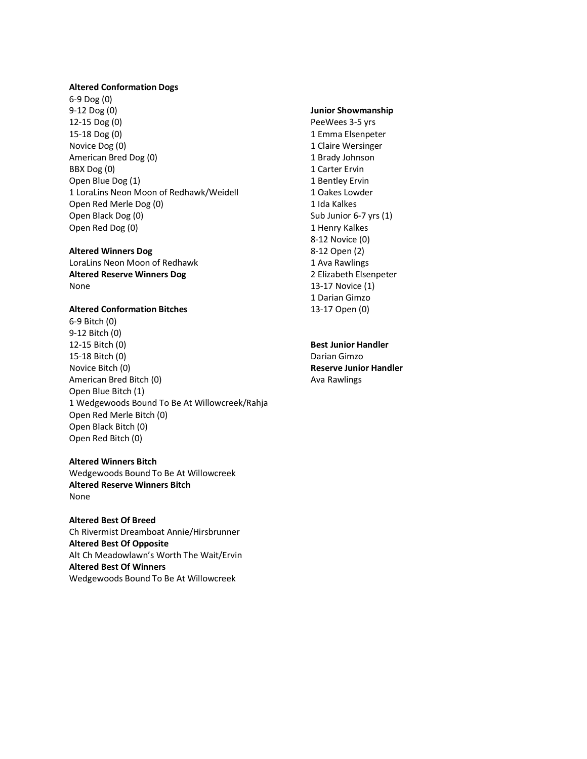### **Altered Conformation Dogs**

6-9 Dog (0) 9-12 Dog (0) 12-15 Dog (0) 15-18 Dog (0) Novice Dog (0) American Bred Dog (0) BBX Dog (0) Open Blue Dog (1) 1 LoraLins Neon Moon of Redhawk/Weidell Open Red Merle Dog (0) Open Black Dog (0) Open Red Dog (0)

# **Altered Winners Dog**

LoraLins Neon Moon of Redhawk **Altered Reserve Winners Dog** None

## **Altered Conformation Bitches**

6-9 Bitch (0) 9-12 Bitch (0) 12-15 Bitch (0) 15-18 Bitch (0) Novice Bitch (0) American Bred Bitch (0) Open Blue Bitch (1) 1 Wedgewoods Bound To Be At Willowcreek/Rahja Open Red Merle Bitch (0) Open Black Bitch (0) Open Red Bitch (0)

# **Altered Winners Bitch** Wedgewoods Bound To Be At Willowcreek **Altered Reserve Winners Bitch** None

**Altered Best Of Breed** Ch Rivermist Dreamboat Annie/Hirsbrunner **Altered Best Of Opposite** Alt Ch Meadowlawn's Worth The Wait/Ervin **Altered Best Of Winners** Wedgewoods Bound To Be At Willowcreek

# **Junior Showmanship**

PeeWees 3-5 yrs 1 Emma Elsenpeter 1 Claire Wersinger 1 Brady Johnson 1 Carter Ervin 1 Bentley Ervin 1 Oakes Lowder 1 Ida Kalkes Sub Junior 6-7 yrs (1) 1 Henry Kalkes 8-12 Novice (0) 8-12 Open (2) 1 Ava Rawlings 2 Elizabeth Elsenpeter 13-17 Novice (1) 1 Darian Gimzo 13-17 Open (0)

# **Best Junior Handler** Darian Gimzo **Reserve Junior Handler** Ava Rawlings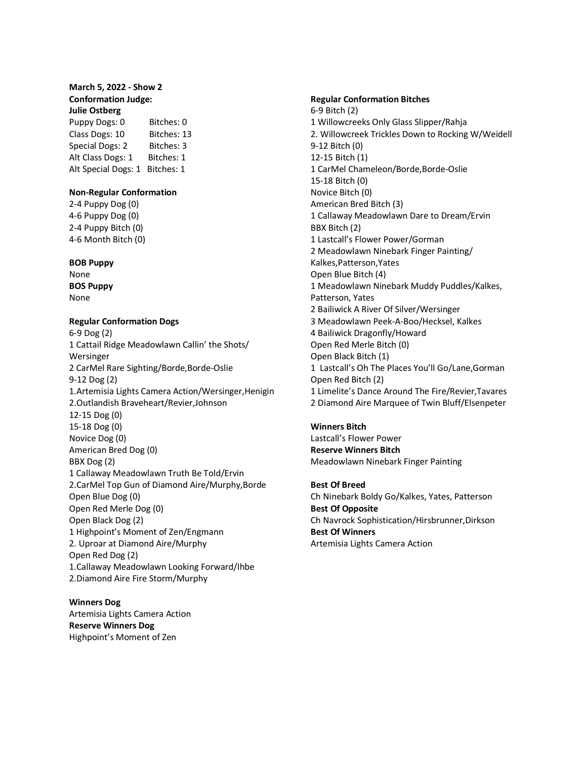## **March 5, 2022 - Show 2 Conformation Judge: Julie Ostberg**

Puppy Dogs: 0 Bitches: 0 Class Dogs: 10 Bitches: 13 Special Dogs: 2 Bitches: 3 Alt Class Dogs: 1 Bitches: 1 Alt Special Dogs: 1 Bitches: 1

### **Non-Regular Conformation**

2-4 Puppy Dog (0) 4-6 Puppy Dog (0) 2-4 Puppy Bitch (0) 4-6 Month Bitch (0)

### **BOB Puppy**

None **BOS Puppy** None

## **Regular Conformation Dogs**

6-9 Dog (2) 1 Cattail Ridge Meadowlawn Callin' the Shots/ Wersinger 2 CarMel Rare Sighting/Borde,Borde-Oslie 9-12 Dog (2) 1.Artemisia Lights Camera Action/Wersinger,Henigin 2.Outlandish Braveheart/Revier,Johnson 12-15 Dog (0) 15-18 Dog (0) Novice Dog (0) American Bred Dog (0) BBX Dog (2) 1 Callaway Meadowlawn Truth Be Told/Ervin 2.CarMel Top Gun of Diamond Aire/Murphy,Borde Open Blue Dog (0) Open Red Merle Dog (0) Open Black Dog (2) 1 Highpoint's Moment of Zen/Engmann 2. Uproar at Diamond Aire/Murphy Open Red Dog (2) 1.Callaway Meadowlawn Looking Forward/Ihbe 2.Diamond Aire Fire Storm/Murphy

**Winners Dog** Artemisia Lights Camera Action **Reserve Winners Dog** Highpoint's Moment of Zen

### **Regular Conformation Bitches**

6-9 Bitch (2) 1 Willowcreeks Only Glass Slipper/Rahja 2. Willowcreek Trickles Down to Rocking W/Weidell 9-12 Bitch (0) 12-15 Bitch (1) 1 CarMel Chameleon/Borde,Borde-Oslie 15-18 Bitch (0) Novice Bitch (0) American Bred Bitch (3) 1 Callaway Meadowlawn Dare to Dream/Ervin BBX Bitch (2) 1 Lastcall's Flower Power/Gorman 2 Meadowlawn Ninebark Finger Painting/ Kalkes,Patterson,Yates Open Blue Bitch (4) 1 Meadowlawn Ninebark Muddy Puddles/Kalkes, Patterson, Yates 2 Bailiwick A River Of Silver/Wersinger 3 Meadowlawn Peek-A-Boo/Hecksel, Kalkes 4 Bailiwick Dragonfly/Howard Open Red Merle Bitch (0) Open Black Bitch (1) 1 Lastcall's Oh The Places You'll Go/Lane,Gorman Open Red Bitch (2) 1 Limelite's Dance Around The Fire/Revier,Tavares 2 Diamond Aire Marquee of Twin Bluff/Elsenpeter

### **Winners Bitch**

Lastcall's Flower Power **Reserve Winners Bitch** Meadowlawn Ninebark Finger Painting

**Best Of Breed** Ch Ninebark Boldy Go/Kalkes, Yates, Patterson **Best Of Opposite** Ch Navrock Sophistication/Hirsbrunner,Dirkson **Best Of Winners** Artemisia Lights Camera Action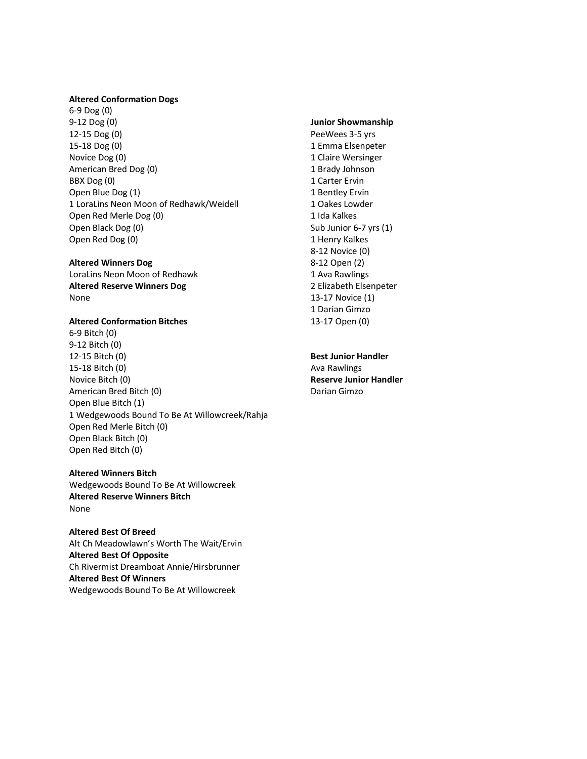#### **Altered Conformation Dogs**

6-9 Dog (0) 9-12 Dog (0) 12-15 Dog (0) 15-18 Dog (0) Novice Dog (0) American Bred Dog (0) BBX Dog (0) Open Blue Dog (1) 1 LoraLins Neon Moon of Redhawk/Weidell Open Red Merle Dog (0) Open Black Dog (0) Open Red Dog (0)

#### **Altered Winners Dog**

LoraLins Neon Moon of Redhawk **Altered Reserve Winners Dog** None

# **Altered Conformation Bitches**

6-9 Bitch (0) 9-12 Bitch (0) 12-15 Bitch (0) 15-18 Bitch (0) Novice Bitch (0) American Bred Bitch (0) Open Blue Bitch (1) 1 Wedgewoods Bound To Be At Willowcreek/Rahja Open Red Merle Bitch (0) Open Black Bitch (0) Open Red Bitch (0)

# **Altered Winners Bitch**

Wedgewoods Bound To Be At Willowcreek **Altered Reserve Winners Bitch** None

**Altered Best Of Breed** Alt Ch Meadowlawn's Worth The Wait/Ervin **Altered Best Of Opposite** Ch Rivermist Dreamboat Annie/Hirsbrunner **Altered Best Of Winners** Wedgewoods Bound To Be At Willowcreek

# **Junior Showmanship**

PeeWees 3-5 yrs 1 Emma Elsenpeter 1 Claire Wersinger 1 Brady Johnson 1 Carter Ervin 1 Bentley Ervin 1 Oakes Lowder 1 Ida Kalkes Sub Junior 6-7 yrs (1) 1 Henry Kalkes 8-12 Novice (0) 8-12 Open (2) 1 Ava Rawlings 2 Elizabeth Elsenpeter 13-17 Novice (1) 1 Darian Gimzo 13-17 Open (0)

**Best Junior Handler** Ava Rawlings **Reserve Junior Handler**

Darian Gimzo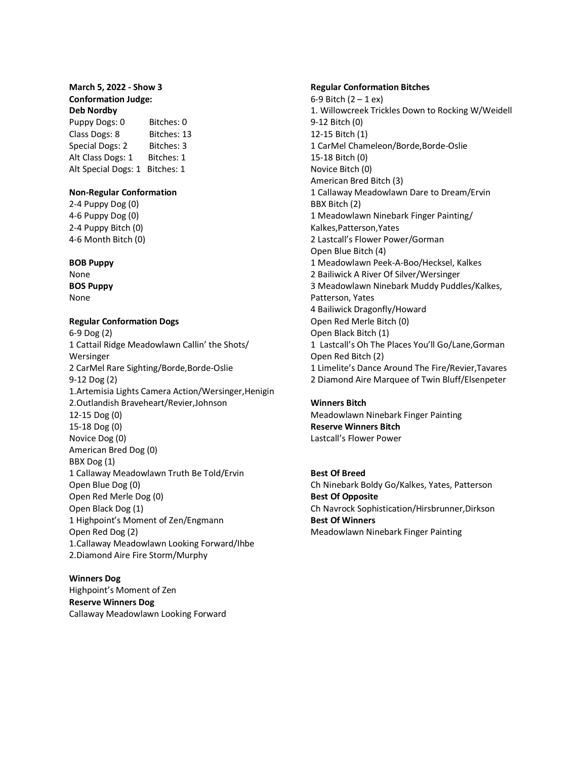## **March 5, 2022 - Show 3 Conformation Judge: Deb Nordby**

Puppy Dogs: 0 Bitches: 0 Class Dogs: 8 Bitches: 13 Special Dogs: 2 Bitches: 3 Alt Class Dogs: 1 Bitches: 1 Alt Special Dogs: 1 Bitches: 1

### **Non-Regular Conformation**

2-4 Puppy Dog (0) 4-6 Puppy Dog (0) 2-4 Puppy Bitch (0) 4-6 Month Bitch (0)

### **BOB Puppy**

None **BOS Puppy** None

## **Regular Conformation Dogs**

6-9 Dog (2) 1 Cattail Ridge Meadowlawn Callin' the Shots/ Wersinger 2 CarMel Rare Sighting/Borde,Borde-Oslie 9-12 Dog (2) 1.Artemisia Lights Camera Action/Wersinger,Henigin 2.Outlandish Braveheart/Revier,Johnson 12-15 Dog (0) 15-18 Dog (0) Novice Dog (0) American Bred Dog (0) BBX Dog (1) 1 Callaway Meadowlawn Truth Be Told/Ervin Open Blue Dog (0) Open Red Merle Dog (0) Open Black Dog (1) 1 Highpoint's Moment of Zen/Engmann Open Red Dog (2) 1.Callaway Meadowlawn Looking Forward/Ihbe 2.Diamond Aire Fire Storm/Murphy

### **Winners Dog**

Highpoint's Moment of Zen **Reserve Winners Dog** Callaway Meadowlawn Looking Forward

### **Regular Conformation Bitches**

6-9 Bitch  $(2 - 1)$  ex) 1. Willowcreek Trickles Down to Rocking W/Weidell 9-12 Bitch (0) 12-15 Bitch (1) 1 CarMel Chameleon/Borde,Borde-Oslie 15-18 Bitch (0) Novice Bitch (0) American Bred Bitch (3) 1 Callaway Meadowlawn Dare to Dream/Ervin BBX Bitch (2) 1 Meadowlawn Ninebark Finger Painting/ Kalkes,Patterson,Yates 2 Lastcall's Flower Power/Gorman Open Blue Bitch (4) 1 Meadowlawn Peek-A-Boo/Hecksel, Kalkes 2 Bailiwick A River Of Silver/Wersinger 3 Meadowlawn Ninebark Muddy Puddles/Kalkes, Patterson, Yates 4 Bailiwick Dragonfly/Howard Open Red Merle Bitch (0) Open Black Bitch (1) 1 Lastcall's Oh The Places You'll Go/Lane,Gorman Open Red Bitch (2) 1 Limelite's Dance Around The Fire/Revier,Tavares 2 Diamond Aire Marquee of Twin Bluff/Elsenpeter

# **Winners Bitch**

Meadowlawn Ninebark Finger Painting **Reserve Winners Bitch** Lastcall's Flower Power

**Best Of Breed** Ch Ninebark Boldy Go/Kalkes, Yates, Patterson **Best Of Opposite** Ch Navrock Sophistication/Hirsbrunner,Dirkson **Best Of Winners** Meadowlawn Ninebark Finger Painting